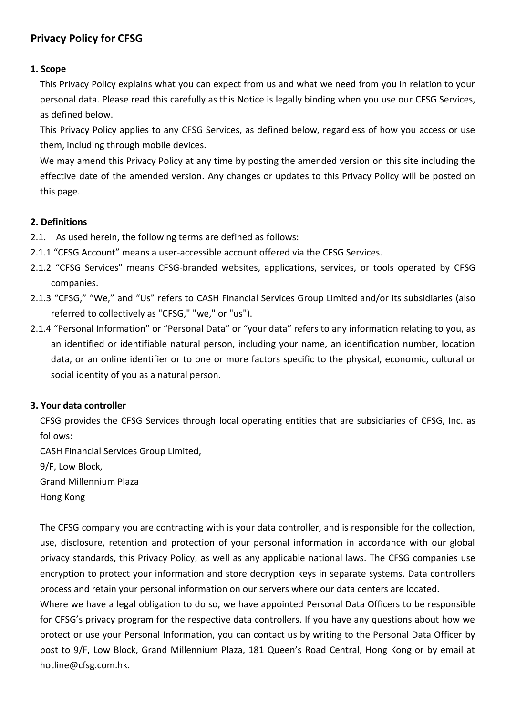# **Privacy Policy for CFSG**

# **1. Scope**

This Privacy Policy explains what you can expect from us and what we need from you in relation to your personal data. Please read this carefully as this Notice is legally binding when you use our CFSG Services, as defined below.

This Privacy Policy applies to any CFSG Services, as defined below, regardless of how you access or use them, including through mobile devices.

We may amend this Privacy Policy at any time by posting the amended version on this site including the effective date of the amended version. Any changes or updates to this Privacy Policy will be posted on this page.

# **2. Definitions**

- 2.1. As used herein, the following terms are defined as follows:
- 2.1.1 "CFSG Account" means a user-accessible account offered via the CFSG Services.
- 2.1.2 "CFSG Services" means CFSG-branded websites, applications, services, or tools operated by CFSG companies.
- 2.1.3 "CFSG," "We," and "Us" refers to CASH Financial Services Group Limited and/or its subsidiaries (also referred to collectively as "CFSG," "we," or "us").
- 2.1.4 "Personal Information" or "Personal Data" or "your data" refers to any information relating to you, as an identified or identifiable natural person, including your name, an identification number, location data, or an online identifier or to one or more factors specific to the physical, economic, cultural or social identity of you as a natural person.

# **3. Your data controller**

CFSG provides the CFSG Services through local operating entities that are subsidiaries of CFSG, Inc. as follows:

CASH Financial Services Group Limited,

9/F, Low Block,

Grand Millennium Plaza

Hong Kong

The CFSG company you are contracting with is your data controller, and is responsible for the collection, use, disclosure, retention and protection of your personal information in accordance with our global privacy standards, this Privacy Policy, as well as any applicable national laws. The CFSG companies use encryption to protect your information and store decryption keys in separate systems. Data controllers process and retain your personal information on our servers where our data centers are located.

Where we have a legal obligation to do so, we have appointed Personal Data Officers to be responsible for CFSG's privacy program for the respective data controllers. If you have any questions about how we protect or use your Personal Information, you can contact us by writing to the Personal Data Officer by post to 9/F, Low Block, Grand Millennium Plaza, 181 Queen's Road Central, Hong Kong or by email at hotline@cfsg.com.hk.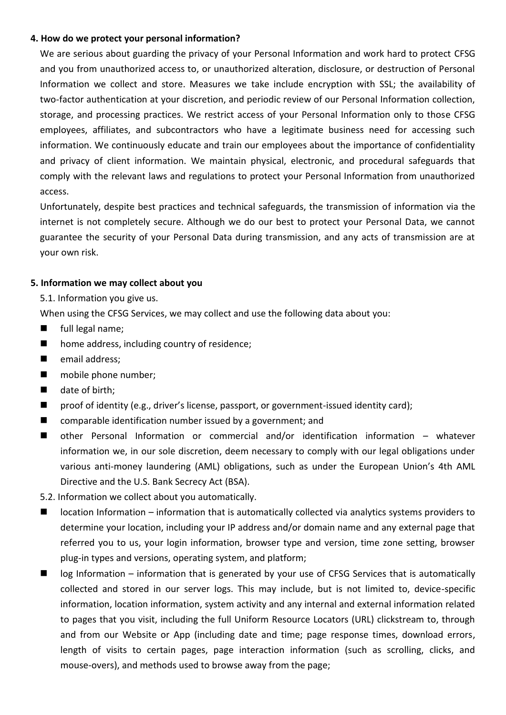### **4. How do we protect your personal information?**

We are serious about guarding the privacy of your Personal Information and work hard to protect CFSG and you from unauthorized access to, or unauthorized alteration, disclosure, or destruction of Personal Information we collect and store. Measures we take include encryption with SSL; the availability of two-factor authentication at your discretion, and periodic review of our Personal Information collection, storage, and processing practices. We restrict access of your Personal Information only to those CFSG employees, affiliates, and subcontractors who have a legitimate business need for accessing such information. We continuously educate and train our employees about the importance of confidentiality and privacy of client information. We maintain physical, electronic, and procedural safeguards that comply with the relevant laws and regulations to protect your Personal Information from unauthorized access.

Unfortunately, despite best practices and technical safeguards, the transmission of information via the internet is not completely secure. Although we do our best to protect your Personal Data, we cannot guarantee the security of your Personal Data during transmission, and any acts of transmission are at your own risk.

### **5. Information we may collect about you**

5.1. Information you give us.

When using the CFSG Services, we may collect and use the following data about you:

- **full legal name;**
- home address, including country of residence;
- **E** email address;
- **n** mobile phone number;
- $\blacksquare$  date of birth;
- proof of identity (e.g., driver's license, passport, or government-issued identity card);
- comparable identification number issued by a government; and
- other Personal Information or commercial and/or identification information whatever information we, in our sole discretion, deem necessary to comply with our legal obligations under various anti-money laundering (AML) obligations, such as under the European Union's 4th AML Directive and the U.S. Bank Secrecy Act (BSA).
- 5.2. Information we collect about you automatically.
- location Information information that is automatically collected via analytics systems providers to determine your location, including your IP address and/or domain name and any external page that referred you to us, your login information, browser type and version, time zone setting, browser plug-in types and versions, operating system, and platform;
- $\blacksquare$  log Information information that is generated by your use of CFSG Services that is automatically collected and stored in our server logs. This may include, but is not limited to, device-specific information, location information, system activity and any internal and external information related to pages that you visit, including the full Uniform Resource Locators (URL) clickstream to, through and from our Website or App (including date and time; page response times, download errors, length of visits to certain pages, page interaction information (such as scrolling, clicks, and mouse-overs), and methods used to browse away from the page;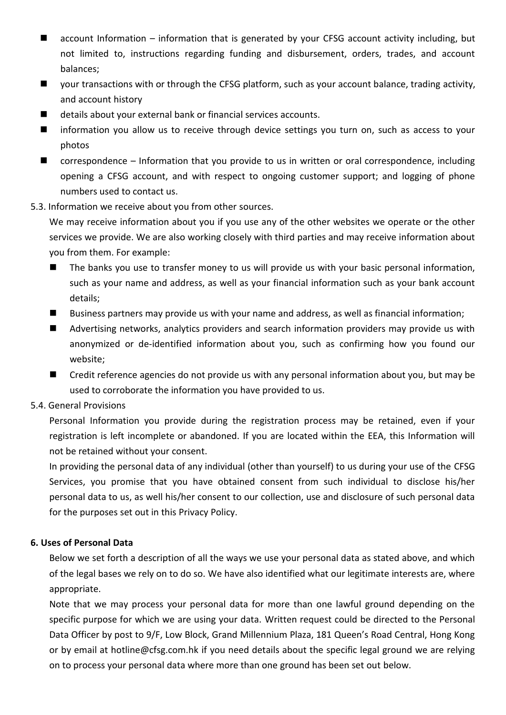- account Information information that is generated by your CFSG account activity including, but not limited to, instructions regarding funding and disbursement, orders, trades, and account balances;
- your transactions with or through the CFSG platform, such as your account balance, trading activity, and account history
- details about your external bank or financial services accounts.
- **If** information you allow us to receive through device settings you turn on, such as access to your photos
- correspondence Information that you provide to us in written or oral correspondence, including opening a CFSG account, and with respect to ongoing customer support; and logging of phone numbers used to contact us.
- 5.3. Information we receive about you from other sources.

We may receive information about you if you use any of the other websites we operate or the other services we provide. We are also working closely with third parties and may receive information about you from them. For example:

- The banks you use to transfer money to us will provide us with your basic personal information, such as your name and address, as well as your financial information such as your bank account details;
- Business partners may provide us with your name and address, as well as financial information;
- **A** Advertising networks, analytics providers and search information providers may provide us with anonymized or de-identified information about you, such as confirming how you found our website;
- Credit reference agencies do not provide us with any personal information about you, but may be used to corroborate the information you have provided to us.

# 5.4. General Provisions

Personal Information you provide during the registration process may be retained, even if your registration is left incomplete or abandoned. If you are located within the EEA, this Information will not be retained without your consent.

In providing the personal data of any individual (other than yourself) to us during your use of the CFSG Services, you promise that you have obtained consent from such individual to disclose his/her personal data to us, as well his/her consent to our collection, use and disclosure of such personal data for the purposes set out in this Privacy Policy.

# **6. Uses of Personal Data**

Below we set forth a description of all the ways we use your personal data as stated above, and which of the legal bases we rely on to do so. We have also identified what our legitimate interests are, where appropriate.

Note that we may process your personal data for more than one lawful ground depending on the specific purpose for which we are using your data. Written request could be directed to the Personal Data Officer by post to 9/F, Low Block, Grand Millennium Plaza, 181 Queen's Road Central, Hong Kong or by email at hotline@cfsg.com.hk if you need details about the specific legal ground we are relying on to process your personal data where more than one ground has been set out below.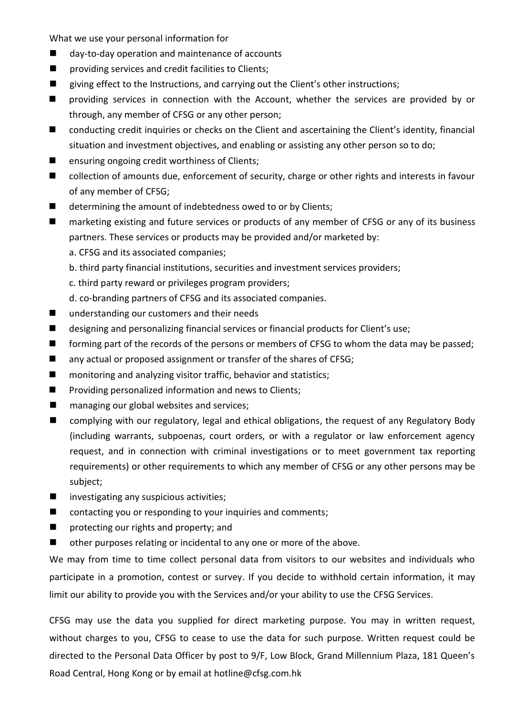What we use your personal information for

- day-to-day operation and maintenance of accounts
- **P** providing services and credit facilities to Clients;
- giving effect to the Instructions, and carrying out the Client's other instructions;
- **n** providing services in connection with the Account, whether the services are provided by or through, any member of CFSG or any other person;
- conducting credit inquiries or checks on the Client and ascertaining the Client's identity, financial situation and investment objectives, and enabling or assisting any other person so to do;
- **E** ensuring ongoing credit worthiness of Clients;
- collection of amounts due, enforcement of security, charge or other rights and interests in favour of any member of CFSG;
- determining the amount of indebtedness owed to or by Clients;
- marketing existing and future services or products of any member of CFSG or any of its business partners. These services or products may be provided and/or marketed by:
	- a. CFSG and its associated companies;
	- b. third party financial institutions, securities and investment services providers;
	- c. third party reward or privileges program providers;
	- d. co-branding partners of CFSG and its associated companies.
- understanding our customers and their needs
- designing and personalizing financial services or financial products for Client's use;
- **The Forming part of the records of the persons or members of CFSG to whom the data may be passed;**
- any actual or proposed assignment or transfer of the shares of CFSG;
- monitoring and analyzing visitor traffic, behavior and statistics;
- **Providing personalized information and news to Clients;**
- managing our global websites and services;
- complying with our regulatory, legal and ethical obligations, the request of any Regulatory Body (including warrants, subpoenas, court orders, or with a regulator or law enforcement agency request, and in connection with criminal investigations or to meet government tax reporting requirements) or other requirements to which any member of CFSG or any other persons may be subject;
- $\blacksquare$  investigating any suspicious activities;
- contacting you or responding to your inquiries and comments;
- **n** protecting our rights and property; and
- other purposes relating or incidental to any one or more of the above.

We may from time to time collect personal data from visitors to our websites and individuals who participate in a promotion, contest or survey. If you decide to withhold certain information, it may limit our ability to provide you with the Services and/or your ability to use the CFSG Services.

CFSG may use the data you supplied for direct marketing purpose. You may in written request, without charges to you, CFSG to cease to use the data for such purpose. Written request could be directed to the Personal Data Officer by post to 9/F, Low Block, Grand Millennium Plaza, 181 Queen's Road Central, Hong Kong or by email at hotline@cfsg.com.hk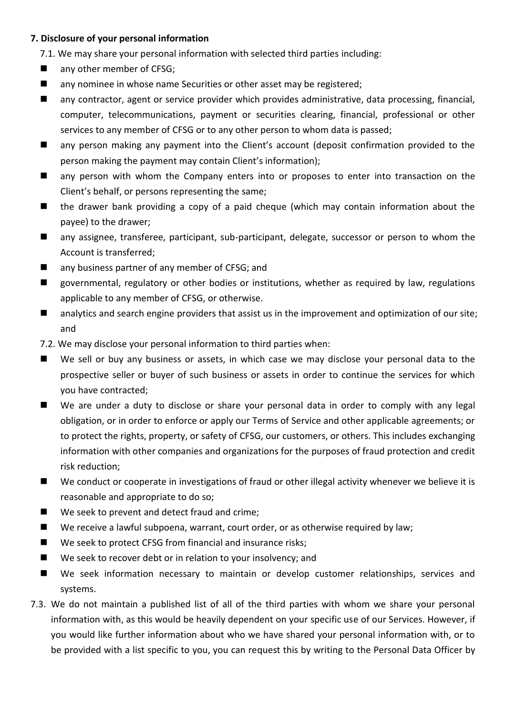### **7. Disclosure of your personal information**

7.1. We may share your personal information with selected third parties including:

- any other member of CFSG;
- any nominee in whose name Securities or other asset may be registered;
- any contractor, agent or service provider which provides administrative, data processing, financial, computer, telecommunications, payment or securities clearing, financial, professional or other services to any member of CFSG or to any other person to whom data is passed;
- any person making any payment into the Client's account (deposit confirmation provided to the person making the payment may contain Client's information);
- **A** any person with whom the Company enters into or proposes to enter into transaction on the Client's behalf, or persons representing the same;
- the drawer bank providing a copy of a paid cheque (which may contain information about the payee) to the drawer;
- any assignee, transferee, participant, sub-participant, delegate, successor or person to whom the Account is transferred;
- any business partner of any member of CFSG; and
- governmental, regulatory or other bodies or institutions, whether as required by law, regulations applicable to any member of CFSG, or otherwise.
- **A** analytics and search engine providers that assist us in the improvement and optimization of our site; and
- 7.2. We may disclose your personal information to third parties when:
- We sell or buy any business or assets, in which case we may disclose your personal data to the prospective seller or buyer of such business or assets in order to continue the services for which you have contracted;
- We are under a duty to disclose or share your personal data in order to comply with any legal obligation, or in order to enforce or apply our Terms of Service and other applicable agreements; or to protect the rights, property, or safety of CFSG, our customers, or others. This includes exchanging information with other companies and organizations for the purposes of fraud protection and credit risk reduction;
- We conduct or cooperate in investigations of fraud or other illegal activity whenever we believe it is reasonable and appropriate to do so;
- We seek to prevent and detect fraud and crime;
- We receive a lawful subpoena, warrant, court order, or as otherwise required by law;
- We seek to protect CFSG from financial and insurance risks;
- We seek to recover debt or in relation to your insolvency; and
- We seek information necessary to maintain or develop customer relationships, services and systems.
- 7.3. We do not maintain a published list of all of the third parties with whom we share your personal information with, as this would be heavily dependent on your specific use of our Services. However, if you would like further information about who we have shared your personal information with, or to be provided with a list specific to you, you can request this by writing to the Personal Data Officer by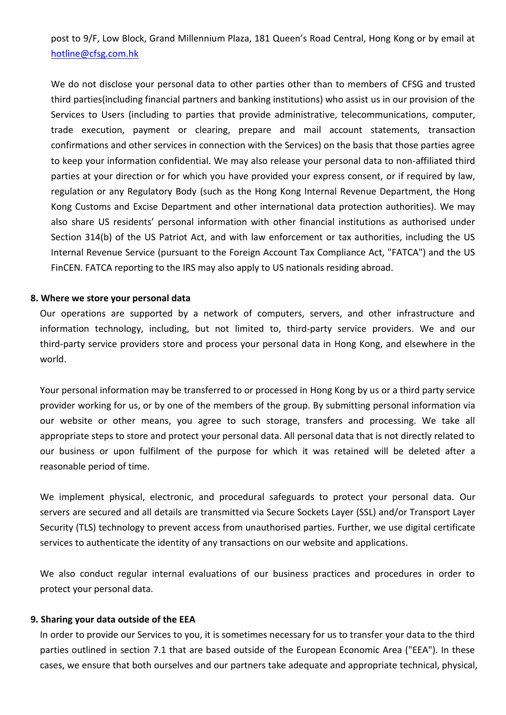post to 9/F, Low Block, Grand Millennium Plaza, 181 Queen's Road Central, Hong Kong or by email at [hotline@cfsg.com.hk](mailto:hotline@cfsg.com.hk)

We do not disclose your personal data to other parties other than to members of CFSG and trusted third parties(including financial partners and banking institutions) who assist us in our provision of the Services to Users (including to parties that provide administrative, telecommunications, computer, trade execution, payment or clearing, prepare and mail account statements, transaction confirmations and other services in connection with the Services) on the basis that those parties agree to keep your information confidential. We may also release your personal data to non-affiliated third parties at your direction or for which you have provided your express consent, or if required by law, regulation or any Regulatory Body (such as the Hong Kong Internal Revenue Department, the Hong Kong Customs and Excise Department and other international data protection authorities). We may also share US residents' personal information with other financial institutions as authorised under Section 314(b) of the US Patriot Act, and with law enforcement or tax authorities, including the US Internal Revenue Service (pursuant to the Foreign Account Tax Compliance Act, "FATCA") and the US FinCEN. FATCA reporting to the IRS may also apply to US nationals residing abroad.

#### **8. Where we store your personal data**

Our operations are supported by a network of computers, servers, and other infrastructure and information technology, including, but not limited to, third-party service providers. We and our third-party service providers store and process your personal data in Hong Kong, and elsewhere in the world.

Your personal information may be transferred to or processed in Hong Kong by us or a third party service provider working for us, or by one of the members of the group. By submitting personal information via our website or other means, you agree to such storage, transfers and processing. We take all appropriate steps to store and protect your personal data. All personal data that is not directly related to our business or upon fulfilment of the purpose for which it was retained will be deleted after a reasonable period of time.

We implement physical, electronic, and procedural safeguards to protect your personal data. Our servers are secured and all details are transmitted via Secure Sockets Layer (SSL) and/or Transport Layer Security (TLS) technology to prevent access from unauthorised parties. Further, we use digital certificate services to authenticate the identity of any transactions on our website and applications.

We also conduct regular internal evaluations of our business practices and procedures in order to protect your personal data.

#### **9. Sharing your data outside of the EEA**

In order to provide our Services to you, it is sometimes necessary for us to transfer your data to the third parties outlined in section 7.1 that are based outside of the European Economic Area ("EEA"). In these cases, we ensure that both ourselves and our partners take adequate and appropriate technical, physical,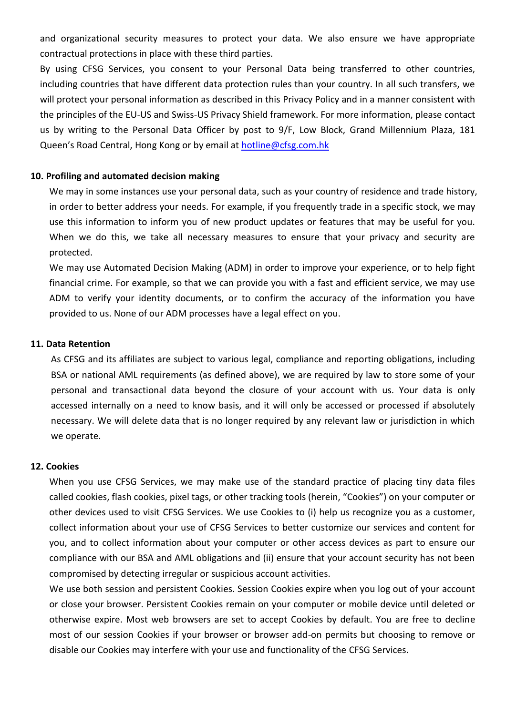and organizational security measures to protect your data. We also ensure we have appropriate contractual protections in place with these third parties.

By using CFSG Services, you consent to your Personal Data being transferred to other countries, including countries that have different data protection rules than your country. In all such transfers, we will protect your personal information as described in this Privacy Policy and in a manner consistent with the principles of the EU-US and Swiss-US Privacy Shield framework. For more information, please contact us by writing to the Personal Data Officer by post to 9/F, Low Block, Grand Millennium Plaza, 181 Queen's Road Central, Hong Kong or by email at [hotline@cfsg.com.hk](mailto:hotline@cfsg.com.hk)

#### **10. Profiling and automated decision making**

We may in some instances use your personal data, such as your country of residence and trade history, in order to better address your needs. For example, if you frequently trade in a specific stock, we may use this information to inform you of new product updates or features that may be useful for you. When we do this, we take all necessary measures to ensure that your privacy and security are protected.

We may use Automated Decision Making (ADM) in order to improve your experience, or to help fight financial crime. For example, so that we can provide you with a fast and efficient service, we may use ADM to verify your identity documents, or to confirm the accuracy of the information you have provided to us. None of our ADM processes have a legal effect on you.

#### **11. Data Retention**

As CFSG and its affiliates are subject to various legal, compliance and reporting obligations, including BSA or national AML requirements (as defined above), we are required by law to store some of your personal and transactional data beyond the closure of your account with us. Your data is only accessed internally on a need to know basis, and it will only be accessed or processed if absolutely necessary. We will delete data that is no longer required by any relevant law or jurisdiction in which we operate.

#### **12. Cookies**

When you use CFSG Services, we may make use of the standard practice of placing tiny data files called cookies, flash cookies, pixel tags, or other tracking tools (herein, "Cookies") on your computer or other devices used to visit CFSG Services. We use Cookies to (i) help us recognize you as a customer, collect information about your use of CFSG Services to better customize our services and content for you, and to collect information about your computer or other access devices as part to ensure our compliance with our BSA and AML obligations and (ii) ensure that your account security has not been compromised by detecting irregular or suspicious account activities.

We use both session and persistent Cookies. Session Cookies expire when you log out of your account or close your browser. Persistent Cookies remain on your computer or mobile device until deleted or otherwise expire. Most web browsers are set to accept Cookies by default. You are free to decline most of our session Cookies if your browser or browser add-on permits but choosing to remove or disable our Cookies may interfere with your use and functionality of the CFSG Services.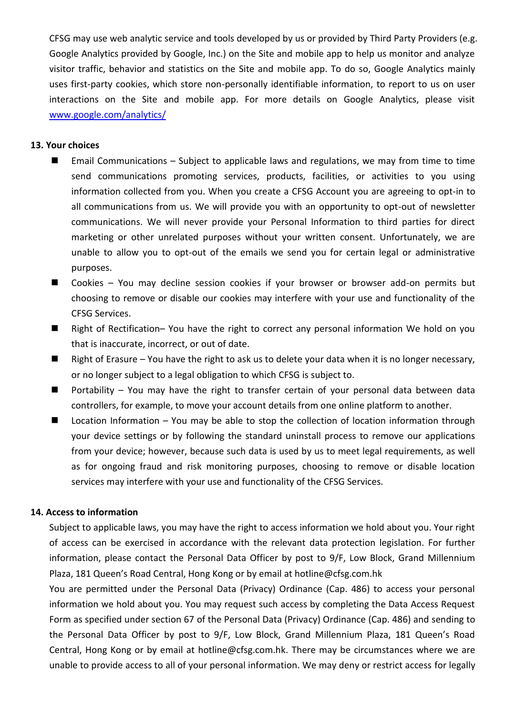CFSG may use web analytic service and tools developed by us or provided by Third Party Providers (e.g. Google Analytics provided by Google, Inc.) on the Site and mobile app to help us monitor and analyze visitor traffic, behavior and statistics on the Site and mobile app. To do so, Google Analytics mainly uses first-party cookies, which store non-personally identifiable information, to report to us on user interactions on the Site and mobile app. For more details on Google Analytics, please visit [www.google.com/analytics/](http://www.google.com/analytics/)

### **13. Your choices**

- Email Communications Subject to applicable laws and regulations, we may from time to time send communications promoting services, products, facilities, or activities to you using information collected from you. When you create a CFSG Account you are agreeing to opt-in to all communications from us. We will provide you with an opportunity to opt-out of newsletter communications. We will never provide your Personal Information to third parties for direct marketing or other unrelated purposes without your written consent. Unfortunately, we are unable to allow you to opt-out of the emails we send you for certain legal or administrative purposes.
- Cookies You may decline session cookies if your browser or browser add-on permits but choosing to remove or disable our cookies may interfere with your use and functionality of the CFSG Services.
- Right of Rectification– You have the right to correct any personal information We hold on you that is inaccurate, incorrect, or out of date.
- **Right of Erasure You have the right to ask us to delete your data when it is no longer necessary,** or no longer subject to a legal obligation to which CFSG is subject to.
- Portability You may have the right to transfer certain of your personal data between data controllers, for example, to move your account details from one online platform to another.
- Location Information You may be able to stop the collection of location information through your device settings or by following the standard uninstall process to remove our applications from your device; however, because such data is used by us to meet legal requirements, as well as for ongoing fraud and risk monitoring purposes, choosing to remove or disable location services may interfere with your use and functionality of the CFSG Services.

#### **14. Access to information**

Subject to applicable laws, you may have the right to access information we hold about you. Your right of access can be exercised in accordance with the relevant data protection legislation. For further information, please contact the Personal Data Officer by post to 9/F, Low Block, Grand Millennium Plaza, 181 Queen's Road Central, Hong Kong or by email at hotline@cfsg.com.hk

You are permitted under the Personal Data (Privacy) Ordinance (Cap. 486) to access your personal information we hold about you. You may request such access by completing the Data Access Request Form as specified under section 67 of the Personal Data (Privacy) Ordinance (Cap. 486) and sending to the Personal Data Officer by post to 9/F, Low Block, Grand Millennium Plaza, 181 Queen's Road Central, Hong Kong or by email at hotline@cfsg.com.hk. There may be circumstances where we are unable to provide access to all of your personal information. We may deny or restrict access for legally